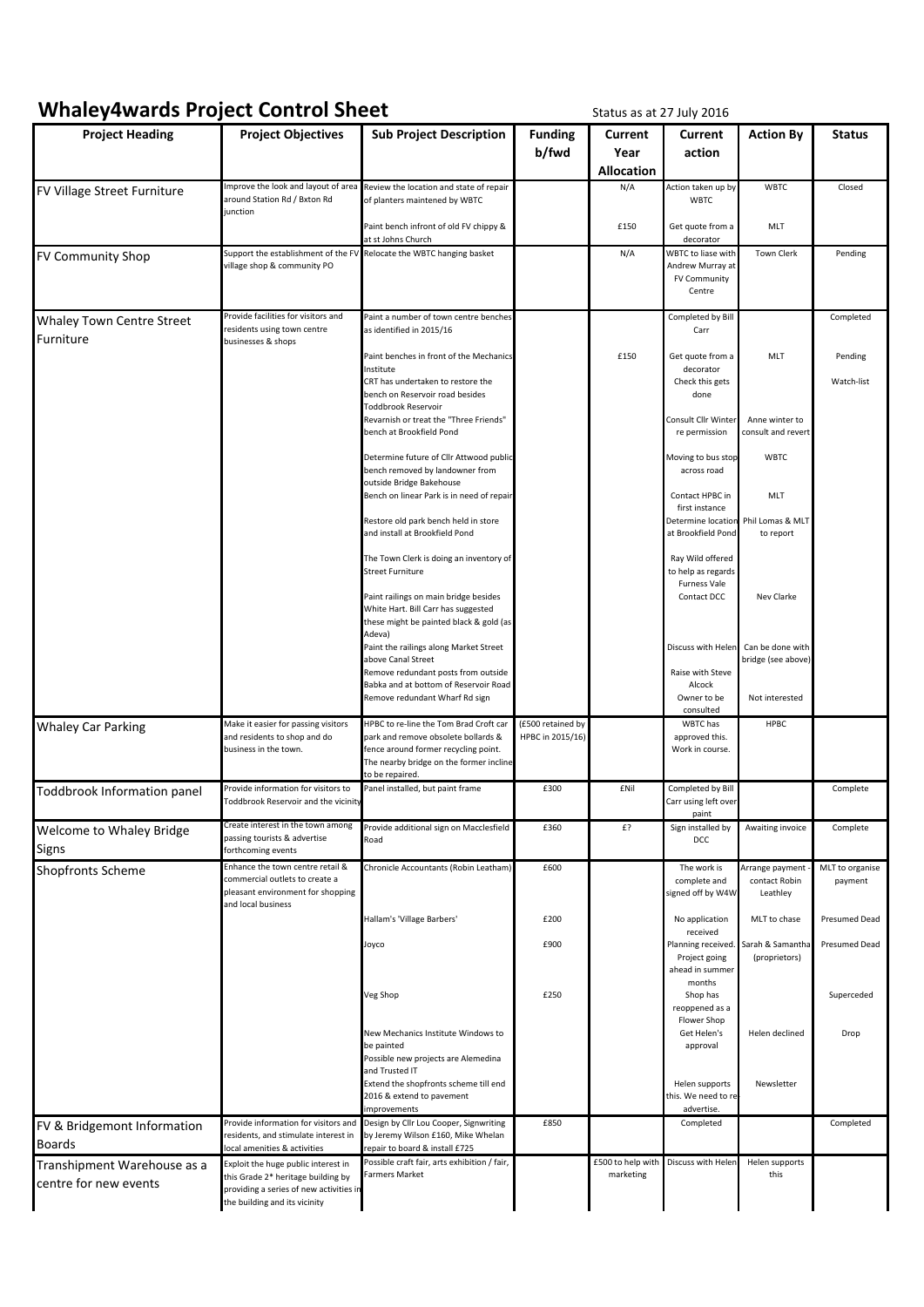## Whaley4wards Project Control Sheet Status as at 27 July 2016

| <b>Project Heading</b>                               | <b>Project Objectives</b>                                                                                                                             | <b>Sub Project Description</b>                                                                                                                                                      | <b>Funding</b><br>b/fwd               | Current<br>Year                | <b>Current</b><br>action                                                | <b>Action By</b>                             | <b>Status</b>              |
|------------------------------------------------------|-------------------------------------------------------------------------------------------------------------------------------------------------------|-------------------------------------------------------------------------------------------------------------------------------------------------------------------------------------|---------------------------------------|--------------------------------|-------------------------------------------------------------------------|----------------------------------------------|----------------------------|
|                                                      |                                                                                                                                                       |                                                                                                                                                                                     |                                       | <b>Allocation</b>              |                                                                         |                                              |                            |
| FV Village Street Furniture                          | Improve the look and layout of area<br>around Station Rd / Bxton Rd<br>junction                                                                       | Review the location and state of repair<br>of planters maintened by WBTC                                                                                                            |                                       | N/A                            | Action taken up by<br><b>WBTC</b>                                       | <b>WBTC</b>                                  | Closed                     |
|                                                      |                                                                                                                                                       | Paint bench infront of old FV chippy &<br>at st Johns Church                                                                                                                        |                                       | £150                           | Get quote from a<br>decorator                                           | MLT                                          |                            |
| FV Community Shop                                    | Support the establishment of the FV<br>village shop & community PO                                                                                    | Relocate the WBTC hanging basket                                                                                                                                                    |                                       | N/A                            | WBTC to liase with<br>Andrew Murray at<br><b>FV Community</b><br>Centre | Town Clerk                                   | Pending                    |
| Whaley Town Centre Street<br>Furniture               | Provide facilities for visitors and<br>residents using town centre<br>businesses & shops                                                              | Paint a number of town centre benches<br>as identified in 2015/16                                                                                                                   |                                       |                                | Completed by Bill<br>Carr                                               |                                              | Completed                  |
|                                                      |                                                                                                                                                       | Paint benches in front of the Mechanics<br>Institute                                                                                                                                |                                       | £150                           | Get quote from a<br>decorator                                           | MLT                                          | Pending                    |
|                                                      |                                                                                                                                                       | CRT has undertaken to restore the<br>bench on Reservoir road besides<br>Toddbrook Reservoir                                                                                         |                                       |                                | Check this gets<br>done                                                 |                                              | Watch-list                 |
|                                                      |                                                                                                                                                       | Revarnish or treat the "Three Friends"<br>bench at Brookfield Pond                                                                                                                  |                                       |                                | Consult Cllr Winter<br>re permission                                    | Anne winter to<br>consult and revert         |                            |
|                                                      |                                                                                                                                                       | Determine future of Cllr Attwood public<br>bench removed by landowner from<br>outside Bridge Bakehouse                                                                              |                                       |                                | Moving to bus stop<br>across road                                       | <b>WBTC</b>                                  |                            |
|                                                      |                                                                                                                                                       | Bench on linear Park is in need of repair                                                                                                                                           |                                       |                                | Contact HPBC in<br>first instance                                       | <b>MLT</b>                                   |                            |
|                                                      |                                                                                                                                                       | Restore old park bench held in store<br>and install at Brookfield Pond                                                                                                              |                                       |                                | Determine location<br>at Brookfield Pond                                | Phil Lomas & MLT<br>to report                |                            |
|                                                      |                                                                                                                                                       | The Town Clerk is doing an inventory of<br><b>Street Furniture</b>                                                                                                                  |                                       |                                | Ray Wild offered<br>to help as regards<br>Furness Vale                  |                                              |                            |
|                                                      |                                                                                                                                                       | Paint railings on main bridge besides<br>White Hart. Bill Carr has suggested<br>these might be painted black & gold (as<br>Adeva)                                                   |                                       |                                | Contact DCC                                                             | Nev Clarke                                   |                            |
|                                                      |                                                                                                                                                       | Paint the railings along Market Street<br>above Canal Street<br>Remove redundant posts from outside                                                                                 |                                       |                                | Discuss with Heler<br>Raise with Steve                                  | Can be done with<br>bridge (see above)       |                            |
|                                                      |                                                                                                                                                       | Babka and at bottom of Reservoir Road<br>Remove redundant Wharf Rd sign                                                                                                             |                                       |                                | Alcock<br>Owner to be<br>consulted                                      | Not interested                               |                            |
| <b>Whaley Car Parking</b>                            | Make it easier for passing visitors<br>and residents to shop and do<br>business in the town.                                                          | HPBC to re-line the Tom Brad Croft car<br>park and remove obsolete bollards &<br>fence around former recycling point.<br>The nearby bridge on the former incline<br>to be repaired. | (£500 retained by<br>HPBC in 2015/16) |                                | WBTC has<br>approved this.<br>Work in course.                           | HPBC                                         |                            |
| Toddbrook Information panel                          | Provide information for visitors to<br>Toddbrook Reservoir and the vicinity                                                                           | Panel installed, but paint frame                                                                                                                                                    | £300                                  | <b>£Nil</b>                    | Completed by Bill<br>Carr using left over<br>paint                      |                                              | Complete                   |
| <b>Welcome to Whaley Bridge</b><br>Signs             | Create interest in the town among<br>passing tourists & advertise<br>forthcoming events                                                               | Provide additional sign on Macclesfield<br>Road                                                                                                                                     | £360                                  | £?                             | Sign installed by<br>DCC                                                | Awaiting invoice                             | Complete                   |
| <b>Shopfronts Scheme</b>                             | Enhance the town centre retail &<br>commercial outlets to create a<br>pleasant environment for shopping<br>and local business                         | Chronicle Accountants (Robin Leatham)                                                                                                                                               | £600                                  |                                | The work is<br>complete and<br>signed off by W4W                        | Arrange payment<br>contact Robin<br>Leathley | MLT to organise<br>payment |
|                                                      |                                                                                                                                                       | Hallam's 'Village Barbers'                                                                                                                                                          | £200                                  |                                | No application<br>received                                              | MLT to chase                                 | Presumed Dead              |
|                                                      |                                                                                                                                                       | Joyco                                                                                                                                                                               | £900                                  |                                | Planning received<br>Project going<br>ahead in summer<br>months         | Sarah & Samantha<br>(proprietors)            | <b>Presumed Dead</b>       |
|                                                      |                                                                                                                                                       | Veg Shop                                                                                                                                                                            | £250                                  |                                | Shop has<br>reoppened as a<br>Flower Shop                               |                                              | Superceded                 |
|                                                      |                                                                                                                                                       | New Mechanics Institute Windows to<br>be painted<br>Possible new projects are Alemedina<br>and Trusted IT                                                                           |                                       |                                | Get Helen's<br>approval                                                 | Helen declined                               | Drop                       |
|                                                      |                                                                                                                                                       | Extend the shopfronts scheme till end<br>2016 & extend to pavement<br>improvements                                                                                                  |                                       |                                | Helen supports<br>this. We need to re<br>advertise.                     | Newsletter                                   |                            |
| FV & Bridgemont Information<br><b>Boards</b>         | Provide information for visitors and<br>residents, and stimulate interest in<br>local amenities & activities                                          | Design by Cllr Lou Cooper, Signwriting<br>by Jeremy Wilson £160, Mike Whelan<br>repair to board & install £725                                                                      | £850                                  |                                | Completed                                                               |                                              | Completed                  |
| Transhipment Warehouse as a<br>centre for new events | Exploit the huge public interest in<br>this Grade 2* heritage building by<br>providing a series of new activities in<br>the building and its vicinity | Possible craft fair, arts exhibition / fair,<br><b>Farmers Market</b>                                                                                                               |                                       | £500 to help with<br>marketing | Discuss with Heler                                                      | Helen supports<br>this                       |                            |